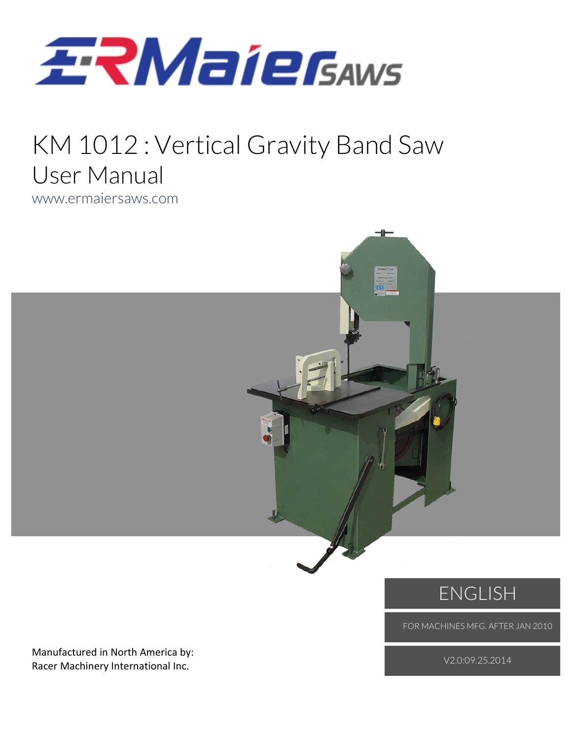

### KM 1012 : Vertical Gravity Band Saw User Manual www.ermaiersaws.com



FOR MACHINES MFG. AFTER JAN 2010

Manufactured in North America by: Racer Machinery International Inc.

V2.0:09.25.2014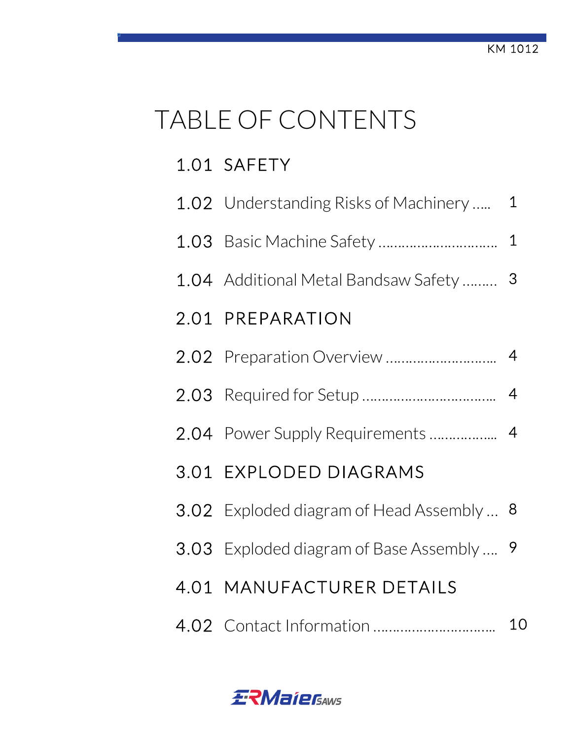# TABLE OF CONTENTS

### 1.01 SAFETY

| 1.02 Understanding Risks of Machinery     | $\mathbf 1$    |
|-------------------------------------------|----------------|
|                                           | $\mathbf 1$    |
| 1.04 Additional Metal Bandsaw Safety      | 3              |
| 2.01 PREPARATION                          |                |
|                                           | $\overline{4}$ |
|                                           | $\overline{4}$ |
| 2.04 Power Supply Requirements            | $\overline{4}$ |
| 3.01 EXPLODED DIAGRAMS                    |                |
| 3.02 Exploded diagram of Head Assembly  8 |                |
| 3.03 Exploded diagram of Base Assembly  9 |                |
| 4.01 MANUFACTURER DETAILS                 |                |
|                                           | 10             |

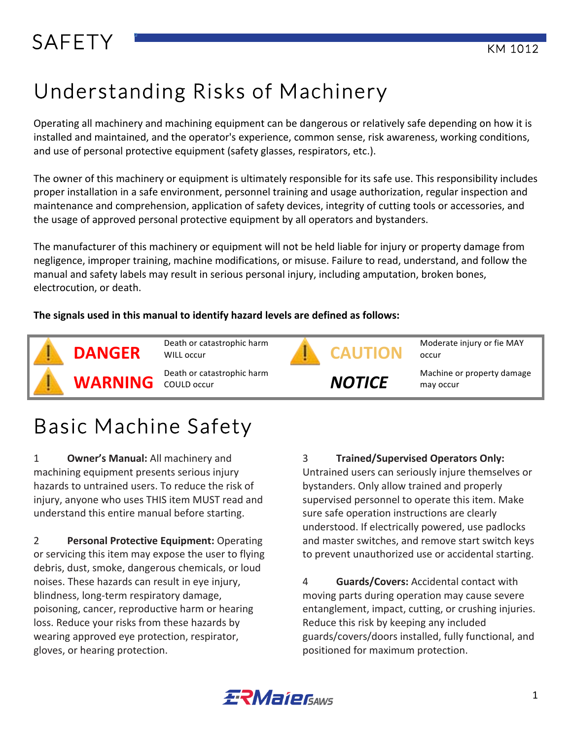# SAFETY FUNCTION CONTINUES AND THE RESERVE TO A REPORT OF THE RESERVE TO A REPORT OF THE RESERVE TO A REPORT OF THE RESERVE TO A REPORT OF THE RESERVE TO A REPORT OF THE REPORT OF THE RESERVE TO A REPORT OF THE REPORT OF TH

# Understanding Risks of Machinery

Operating all machinery and machining equipment can be dangerous or relatively safe depending on how it is installed and maintained, and the operator's experience, common sense, risk awareness, working conditions, and use of personal protective equipment (safety glasses, respirators, etc.).

The owner of this machinery or equipment is ultimately responsible for its safe use. This responsibility includes proper installation in a safe environment, personnel training and usage authorization, regular inspection and maintenance and comprehension, application of safety devices, integrity of cutting tools or accessories, and the usage of approved personal protective equipment by all operators and bystanders.

The manufacturer of this machinery or equipment will not be held liable for injury or property damage from negligence, improper training, machine modifications, or misuse. Failure to read, understand, and follow the manual and safety labels may result in serious personal injury, including amputation, broken bones, electrocution, or death.

**The signals used in this manual to identify hazard levels are defined as follows:** 



Death or catastrophic harm<br> **DANGER** WILL occur

**WARNING** Death or catastrophic harm



Moderate injury or fie MAY<br>**CAUTION** occur occur

**NOTICE** Machine or property damage may occur

# Basic Machine Safety

**1** Owner's Manual: All machinery and machining equipment presents serious injury hazards to untrained users. To reduce the risk of injury, anyone who uses THIS item MUST read and understand this entire manual before starting.

**2 Personal Protective Equipment:** Operating or servicing this item may expose the user to flying debris, dust, smoke, dangerous chemicals, or loud noises. These hazards can result in eye injury, blindness, long-term respiratory damage, poisoning, cancer, reproductive harm or hearing loss. Reduce your risks from these hazards by wearing approved eye protection, respirator, gloves, or hearing protection.

**3 Trained/Supervised Operators Only:** 

Untrained users can seriously injure themselves or bystanders. Only allow trained and properly supervised personnel to operate this item. Make sure safe operation instructions are clearly understood. If electrically powered, use padlocks and master switches, and remove start switch keys to prevent unauthorized use or accidental starting.

4 **Guards/Covers:** Accidental contact with moving parts during operation may cause severe entanglement, impact, cutting, or crushing injuries. Reduce this risk by keeping any included guards/covers/doors installed, fully functional, and positioned for maximum protection.

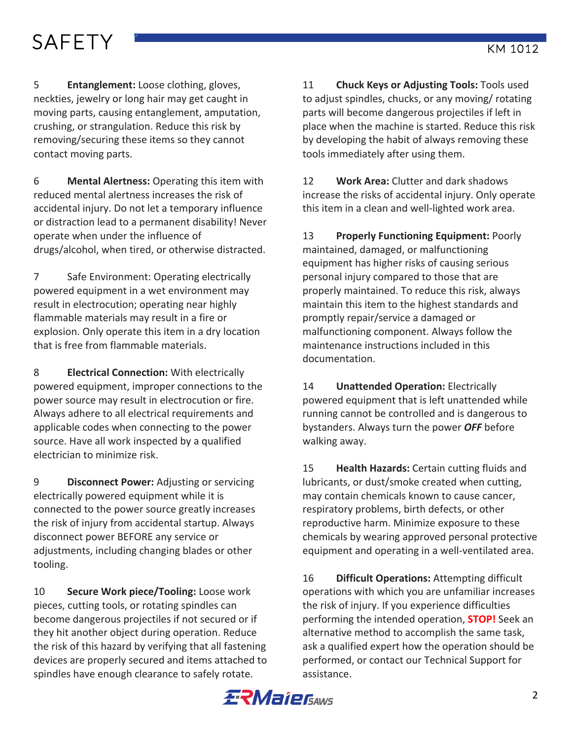# SAFETY FUNCTION CONTINUES AND THE RESEARCH CONTINUES AND THE RESEARCH CONTINUES AND THE RESEARCH CONTINUES AND

5 **Entanglement:** Loose clothing, gloves, neckties, jewelry or long hair may get caught in moving parts, causing entanglement, amputation, crushing, or strangulation. Reduce this risk by removing/securing these items so they cannot contact moving parts.

6 **Mental Alertness:** Operating this item with reduced mental alertness increases the risk of accidental injury. Do not let a temporary influence or distraction lead to a permanent disability! Never operate when under the influence of drugs/alcohol, when tired, or otherwise distracted.

7 Safe Environment: Operating electrically powered equipment in a wet environment may result in electrocution; operating near highly flammable materials may result in a fire or explosion. Only operate this item in a dry location that is free from flammable materials.

8 **Electrical Connection:** With electrically powered equipment, improper connections to the power source may result in electrocution or fire. Always adhere to all electrical requirements and applicable codes when connecting to the power source. Have all work inspected by a qualified electrician to minimize risk.

9 **Disconnect Power:** Adjusting or servicing electrically powered equipment while it is connected to the power source greatly increases the risk of injury from accidental startup. Always disconnect power BEFORE any service or adjustments, including changing blades or other tooling. 

**10 Secure Work piece/Tooling:** Loose work pieces, cutting tools, or rotating spindles can become dangerous projectiles if not secured or if they hit another object during operation. Reduce the risk of this hazard by verifying that all fastening devices are properly secured and items attached to spindles have enough clearance to safely rotate.

**11 Chuck Keys or Adjusting Tools:** Tools used to adjust spindles, chucks, or any moving/ rotating parts will become dangerous projectiles if left in place when the machine is started. Reduce this risk by developing the habit of always removing these tools immediately after using them.

12 **Work Area:** Clutter and dark shadows increase the risks of accidental injury. Only operate this item in a clean and well-lighted work area.

13 **Properly Functioning Equipment: Poorly** maintained, damaged, or malfunctioning equipment has higher risks of causing serious personal injury compared to those that are properly maintained. To reduce this risk, always maintain this item to the highest standards and promptly repair/service a damaged or malfunctioning component. Always follow the maintenance instructions included in this documentation. 

14 **Unattended Operation:** Electrically powered equipment that is left unattended while running cannot be controlled and is dangerous to bystanders. Always turn the power OFF before walking away.

15 **Health Hazards:** Certain cutting fluids and lubricants, or dust/smoke created when cutting, may contain chemicals known to cause cancer, respiratory problems, birth defects, or other reproductive harm. Minimize exposure to these chemicals by wearing approved personal protective equipment and operating in a well-ventilated area.

16 **Difficult Operations:** Attempting difficult operations with which you are unfamiliar increases the risk of injury. If you experience difficulties performing the intended operation, **STOP!** Seek an alternative method to accomplish the same task, ask a qualified expert how the operation should be performed, or contact our Technical Support for assistance. 

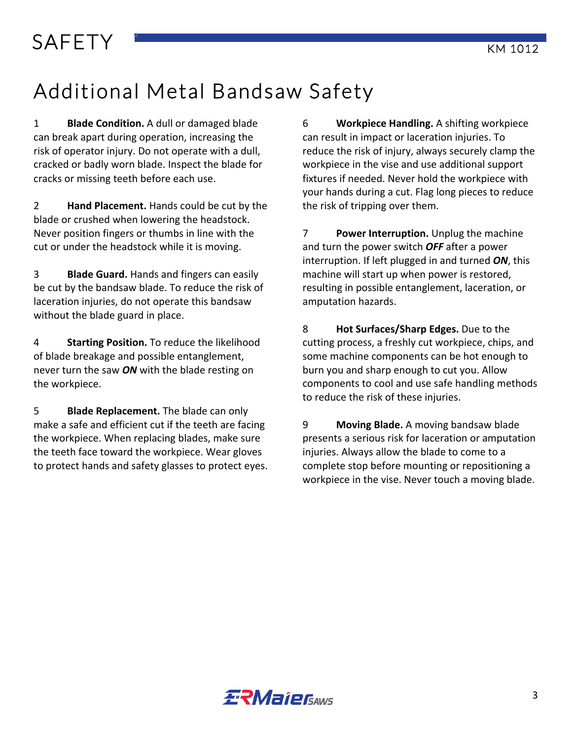# SAFETY **KM** 1012

# Additional Metal Bandsaw Safety

1 **Blade Condition.** A dull or damaged blade can break apart during operation, increasing the risk of operator injury. Do not operate with a dull, cracked or badly worn blade. Inspect the blade for cracks or missing teeth before each use.

**2 Hand Placement.** Hands could be cut by the blade or crushed when lowering the headstock. Never position fingers or thumbs in line with the cut or under the headstock while it is moving.

**Blade Guard.** Hands and fingers can easily be cut by the bandsaw blade. To reduce the risk of laceration injuries, do not operate this bandsaw without the blade guard in place.

4 **Starting Position.** To reduce the likelihood of blade breakage and possible entanglement, never turn the saw *ON* with the blade resting on the workpiece.

5 **Blade Replacement.** The blade can only make a safe and efficient cut if the teeth are facing the workpiece. When replacing blades, make sure the teeth face toward the workpiece. Wear gloves to protect hands and safety glasses to protect eyes. 6 **Workpiece Handling.** A shifting workpiece can result in impact or laceration injuries. To reduce the risk of injury, always securely clamp the workpiece in the vise and use additional support fixtures if needed. Never hold the workpiece with your hands during a cut. Flag long pieces to reduce the risk of tripping over them.

**7 Power Interruption.** Unplug the machine and turn the power switch **OFF** after a power interruption. If left plugged in and turned *ON*, this machine will start up when power is restored, resulting in possible entanglement, laceration, or amputation hazards.

8 **Hot Surfaces/Sharp Edges.** Due to the cutting process, a freshly cut workpiece, chips, and some machine components can be hot enough to burn you and sharp enough to cut you. Allow components to cool and use safe handling methods to reduce the risk of these injuries.

9 **Moving Blade.** A moving bandsaw blade presents a serious risk for laceration or amputation injuries. Always allow the blade to come to a complete stop before mounting or repositioning a workpiece in the vise. Never touch a moving blade.

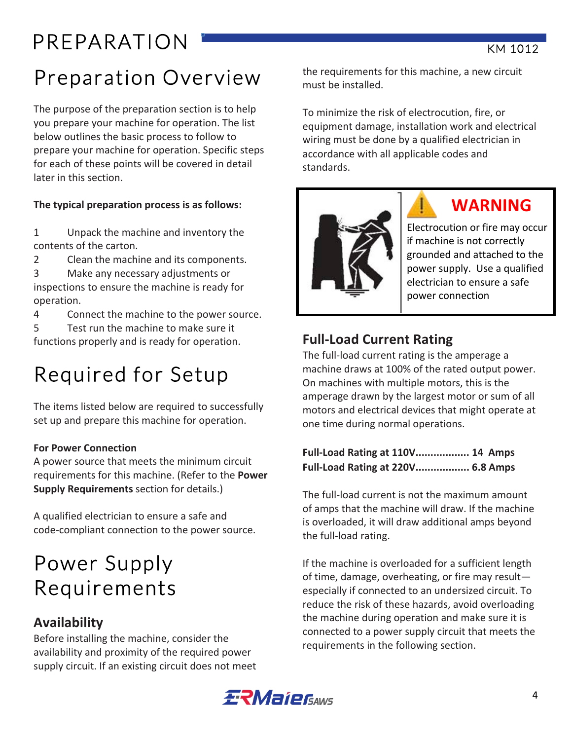# Preparation Overview

The purpose of the preparation section is to help you prepare your machine for operation. The list below outlines the basic process to follow to prepare your machine for operation. Specific steps for each of these points will be covered in detail later in this section.

#### The typical preparation process is as follows:

1 Unpack the machine and inventory the contents of the carton.

- 2 Clean the machine and its components.
- 3 Make any necessary adjustments or

inspections to ensure the machine is ready for operation. 

4 Connect the machine to the power source.

5 Test run the machine to make sure it functions properly and is ready for operation.

# Required for Setup

The items listed below are required to successfully set up and prepare this machine for operation.

#### **For Power Connection**

A power source that meets the minimum circuit requirements for this machine. (Refer to the **Power Supply Requirements** section for details.)

A qualified electrician to ensure a safe and code-compliant connection to the power source.

### Power Supply Requirements

### **Availability**

Before installing the machine, consider the availability and proximity of the required power supply circuit. If an existing circuit does not meet the requirements for this machine, a new circuit must be installed.

To minimize the risk of electrocution, fire, or equipment damage, installation work and electrical wiring must be done by a qualified electrician in accordance with all applicable codes and standards. 



### **WARNING**

Electrocution or fire may occur if machine is not correctly grounded and attached to the power supply. Use a qualified electrician to ensure a safe power connection

### **Full-Load Current Rating**

The full-load current rating is the amperage a machine draws at 100% of the rated output power. On machines with multiple motors, this is the amperage drawn by the largest motor or sum of all motors and electrical devices that might operate at one time during normal operations.

#### **Full-Load Rating at 110V.................. 14 Amps Full-Load Rating at 220V.................. 6.8 Amps**

The full-load current is not the maximum amount of amps that the machine will draw. If the machine is overloaded, it will draw additional amps beyond the full-load rating.

If the machine is overloaded for a sufficient length of time, damage, overheating, or fire may result $$ especially if connected to an undersized circuit. To reduce the risk of these hazards, avoid overloading the machine during operation and make sure it is connected to a power supply circuit that meets the requirements in the following section.

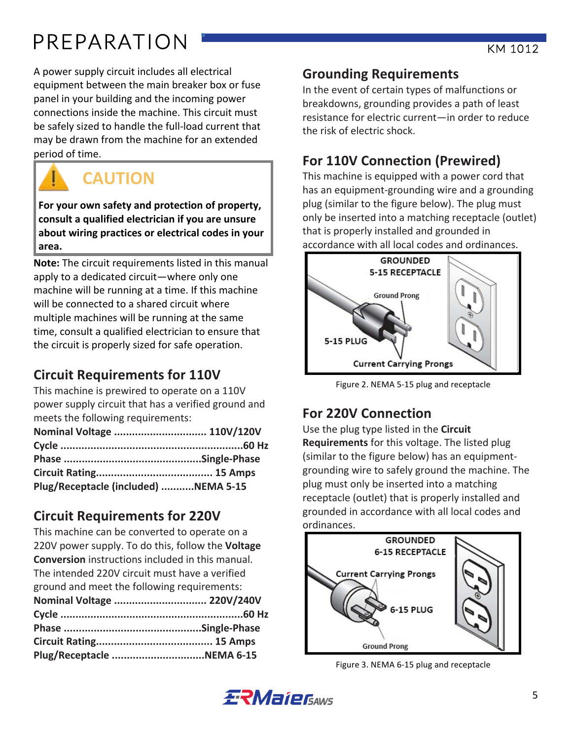# PREPARATION **KW 1012**

A power supply circuit includes all electrical equipment between the main breaker box or fuse panel in your building and the incoming power connections inside the machine. This circuit must be safely sized to handle the full-load current that may be drawn from the machine for an extended period of time.



### **CAUTION**

For your own safety and protection of property, consult a qualified electrician if you are unsure about wiring practices or electrical codes in your **area.**

**Note:** The circuit requirements listed in this manual apply to a dedicated circuit—where only one machine will be running at a time. If this machine will be connected to a shared circuit where multiple machines will be running at the same time, consult a qualified electrician to ensure that the circuit is properly sized for safe operation.

### **Circuit Requirements for 110V**

This machine is prewired to operate on a 110V power supply circuit that has a verified ground and meets the following requirements:

| Nominal Voltage  110V/120V           |  |
|--------------------------------------|--|
|                                      |  |
|                                      |  |
|                                      |  |
| Plug/Receptacle (included) NEMA 5-15 |  |

### **Circuit Requirements for 220V**

This machine can be converted to operate on a 220V power supply. To do this, follow the **Voltage Conversion** instructions included in this manual. The intended 220V circuit must have a verified ground and meet the following requirements: **Nominal Voltage ............................... 220V/240V Cycle .............................................................60 Hz Phase ..............................................Single-Phase Circuit Rating....................................... 15 Amps Plug/Receptacle ...............................NEMA 6-15** 

### **Grounding Requirements**

In the event of certain types of malfunctions or breakdowns, grounding provides a path of least resistance for electric current—in order to reduce the risk of electric shock.

### **For 110V Connection (Prewired)**

This machine is equipped with a power cord that has an equipment-grounding wire and a grounding plug (similar to the figure below). The plug must only be inserted into a matching receptacle (outlet) that is properly installed and grounded in accordance with all local codes and ordinances.



Figure 2. NEMA 5-15 plug and receptacle

### **For 220V Connection**

Use the plug type listed in the **Circuit Requirements** for this voltage. The listed plug (similar to the figure below) has an equipmentgrounding wire to safely ground the machine. The plug must only be inserted into a matching receptacle (outlet) that is properly installed and grounded in accordance with all local codes and ordinances. 



Figure 3. NEMA 6-15 plug and receptacle

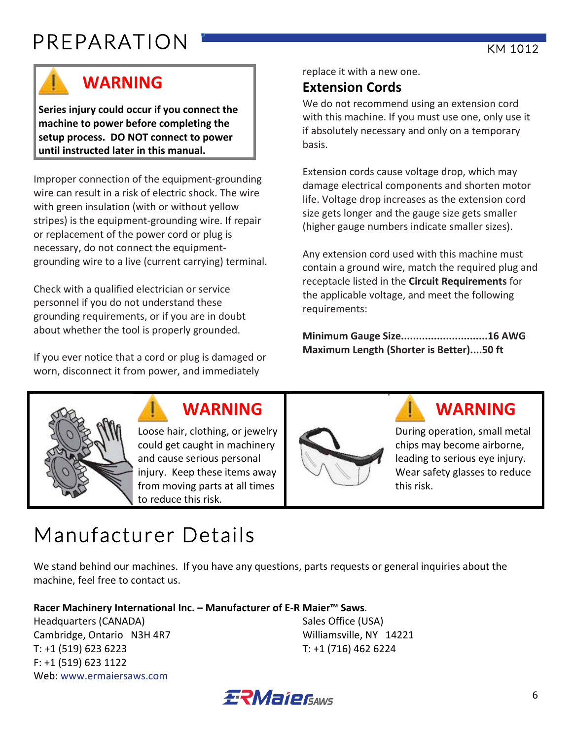# PREPARATION **KW 1012**



### **WARNING**

Series injury could occur if you connect the machine to power before completing the setup process. DO NOT connect to power until instructed later in this manual.

Improper connection of the equipment-grounding wire can result in a risk of electric shock. The wire with green insulation (with or without vellow stripes) is the equipment-grounding wire. If repair or replacement of the power cord or plug is necessary, do not connect the equipmentgrounding wire to a live (current carrying) terminal.

Check with a qualified electrician or service personnel if you do not understand these grounding requirements, or if you are in doubt about whether the tool is properly grounded.

If you ever notice that a cord or plug is damaged or worn, disconnect it from power, and immediately

replace it with a new one.

### **Extension Cords**

We do not recommend using an extension cord with this machine. If you must use one, only use it if absolutely necessary and only on a temporary basis. 

Extension cords cause voltage drop, which may damage electrical components and shorten motor life. Voltage drop increases as the extension cord size gets longer and the gauge size gets smaller (higher gauge numbers indicate smaller sizes).

Any extension cord used with this machine must contain a ground wire, match the required plug and receptacle listed in the **Circuit Requirements** for the applicable voltage, and meet the following requirements: 

**Minimum Gauge Size.............................16 AWG Maximum Length (Shorter is Better)....50 ft** 



Loose hair, clothing, or jewelry could get caught in machinery and cause serious personal injury. Keep these items away from moving parts at all times to reduce this risk.



### **WARNING WARNING**

During operation, small metal chips may become airborne, leading to serious eye injury. Wear safety glasses to reduce this risk.

# Manufacturer Details

We stand behind our machines. If you have any questions, parts requests or general inquiries about the machine, feel free to contact us.

#### **Racer Machinery International Inc. – Manufacturer of E-R Maier™ Saws**.

Headquarters (CANADA) Sales Office (USA) Cambridge, Ontario N3H 4R7 Williamsville, NY 14221 T: +1 (519) 623 6223 T: +1 (716) 462 6224  $F: +1(519) 623 1122$ Web: www.ermaiersaws.com

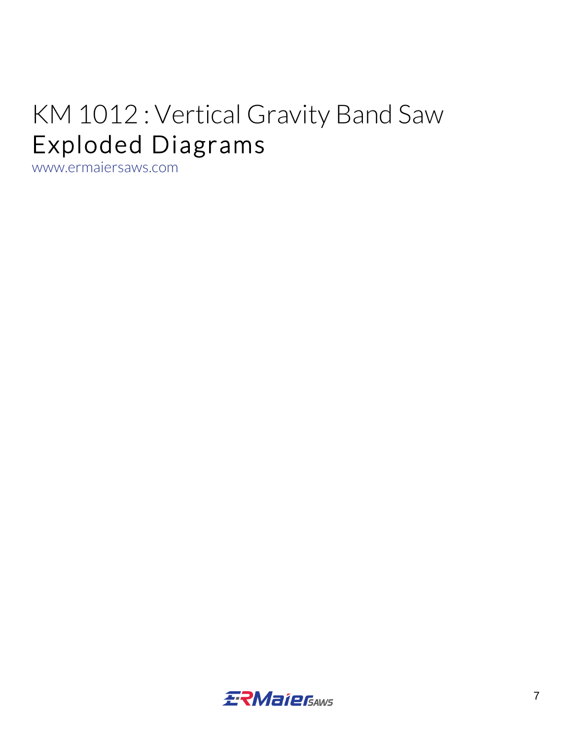# KM 1012 : Vertical Gravity Band Saw Exploded Diagrams www.ermaiersaws.com

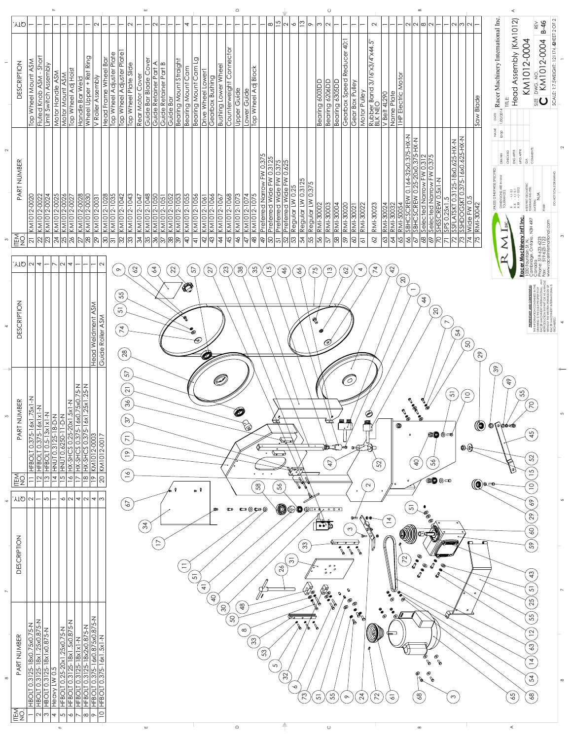

 $\infty$ 

|                          | .YTQ                       | $\overline{\phantom{0}}$                                                            | –                                                                                                 |                                                                     |                           |                          | —<br>$\overline{\phantom{0}}$                                                                              | $\sim$                                   |                                                                                                                              |                                                        | $\sim$                                                             | $\overline{\phantom{0}}$ | $ - N - $ |                                                                                      |                               | $\overline{v}$                            |                                                                           |                      | $\overline{\phantom{0}}$                                                  | $\overline{\phantom{0}}$     |                                                       | $\overline{\phantom{0}}$ | $ - \infty $                                 | $\frac{5}{2}$  2                                                                                                              |                                                                                  | $\frac{3}{2}$                      | $\sigma$             | $ \infty $ လ                                                    | $-$                                                             | $\overline{\phantom{0}}$                                      | $\overline{\phantom{0}}$                         | $\sim$<br>$\overline{\phantom{0}}$                           |                                                              |                                                                          |                                          |                                            | $ - - N N \infty \infty - - $                             |                          |                                                                                                          | $\sim$ $\sim$                                        |                    |                                                                                  |                                                                                                                      |                                                                                                                        | $B-46$<br>REV                                                            |                                          |          |
|--------------------------|----------------------------|-------------------------------------------------------------------------------------|---------------------------------------------------------------------------------------------------|---------------------------------------------------------------------|---------------------------|--------------------------|------------------------------------------------------------------------------------------------------------|------------------------------------------|------------------------------------------------------------------------------------------------------------------------------|--------------------------------------------------------|--------------------------------------------------------------------|--------------------------|-----------|--------------------------------------------------------------------------------------|-------------------------------|-------------------------------------------|---------------------------------------------------------------------------|----------------------|---------------------------------------------------------------------------|------------------------------|-------------------------------------------------------|--------------------------|----------------------------------------------|-------------------------------------------------------------------------------------------------------------------------------|----------------------------------------------------------------------------------|------------------------------------|----------------------|-----------------------------------------------------------------|-----------------------------------------------------------------|---------------------------------------------------------------|--------------------------------------------------|--------------------------------------------------------------|--------------------------------------------------------------|--------------------------------------------------------------------------|------------------------------------------|--------------------------------------------|-----------------------------------------------------------|--------------------------|----------------------------------------------------------------------------------------------------------|------------------------------------------------------|--------------------|----------------------------------------------------------------------------------|----------------------------------------------------------------------------------------------------------------------|------------------------------------------------------------------------------------------------------------------------|--------------------------------------------------------------------------|------------------------------------------|----------|
|                          | <b>DESCRIPTION</b>         | Top Wheel Mount ASM                                                                 | Short<br>Assembly<br>Fluted Knob ASM-<br>Limit Switch                                             | <b>ASM</b><br>Motor Handle                                          | <b>ASM</b><br>Motor Mount | Top Wheel Adj Hoist      | Wheel Upper + Ret Ring<br><b>Bar Weld</b><br>Handle                                                        | V Roller Assembly                        | Wheel Adjuster Plate<br>Head Frame Wheel Bar<br>Top                                                                          | Plate<br>Wheel Adjuster<br>$\overline{P}^{\mathsf{D}}$ | Top Wheel Plate Slide                                              | Rear Motor Cover         |           | Guide Bar Blade Cover<br>Guide Retainer Part A<br>Guide Retainer Part B<br>Guide Bar | <b>Bearing Mount Straight</b> | mp<br>$\cup$<br><b>Bearing Mount</b>      | $\overline{\mathrm{O}}$<br><b>Bearing Mount Cam</b><br>Drive Wheel Lower1 | Gearbox Bushing      | Counterweight Connector<br>Wheel<br><b>Bushing Lower</b>                  | Upper Guide                  | Lower Guide                                           | Top Wheel Adj Block      |                                              |                                                                                                                               |                                                                                  |                                    |                      | <b>QQ\$009</b><br>Bearing 6206DD<br>Bearing                     | Bearing 6305DD                                                  | $\ddot{Q}$<br>Reducer<br>Gearbox Speed                        | Gear Box Pulley                                  | 3/16"X3/4"X44.5"<br>Rubber Band 3<br>BLK NEO<br>Motor Pulley | 4L290<br><b>Belt</b><br>$\geq$                               | Motor<br>Name Plate<br>THP Electric                                      |                                          |                                            |                                                           |                          |                                                                                                          |                                                      | Saw Blade          | $\frac{\text{DATE}}{1/30/2014}$ Racer Machinery International Inc<br>NAME<br>pop | ssembly (KM1012)<br>$\prec$<br>Head<br><b>FE</b>                                                                     | KM1012-0004                                                                                                            | KM1012-0004<br>$\frac{C}{Z}$<br>$rac{C}{2}$<br>$\mathbb{E} \mathbf{C}$   | SCALE: 1:7.5WEIGHT: 121174.42HEET 2 OF 2 |          |
| $\sim$<br>$\infty$       | PART NUMBER<br>ITEM.       | 0020<br>$\overline{\mathsf{N}}$<br>KM10<br>$\overline{2}$                           | KM1012-0022<br>KM1012-0024<br>KM1012-0025<br>KM1012-0026<br>KM1012-0027<br>$ S _{S}^2 Z _{S}^2 S$ |                                                                     |                           |                          | $\frac{88}{100}$<br>$\frac{1}{2}$<br>$\frac{1011}{101}$<br>$ \overline{2 8 }$                              |                                          | KM1012-0031<br>KM1012-1028<br>KM1012-1042<br>KM1012-1042<br>KM1012-1043<br>$ S $ $\simeq$ $ S $ $S$ $ S $ $S S $ $S S S$ $S$ |                                                        |                                                                    |                          |           | KM1012-1047<br>KM1012-1048<br>KM1012-1050<br>KM1012-1052<br>KM1012-1053              |                               | 1055<br>$\overline{KM1012}$<br>$\sqrt{P}$ | KM1012-1056<br>$\overline{4}$                                             |                      | KM1012-1061<br>KM1012-1066<br>KM1012-1067<br>KM1012-1068<br>$ d d  =  d $ | KM1012-1073<br>$\frac{3}{5}$ | KM1012-1074<br>KM1012-1075                            | $\overline{\mathsf{F}}$  | 5<br>Preferred Narrow F<br>Preferred Wide FW | $\frac{10.375}{0.3125}$<br>0.3125<br>0.625<br>Preferred Wide FW<br>$ \dot{z} _{\infty}^2  \dot{z} ^2  \dot{z} ^2  \dot{z} ^2$ | $\geq$<br>ഥ<br>$\overline{W}$ ide<br>$0.\overline{2}$<br>Regular LW<br>Preferred | Regular LW 0.3125<br>$\frac{5}{4}$ | Regular LW 0.375     | RMI-30003<br>RMI-30002<br>55/5                                  | RMI-30004<br>ခြိ                                                | RMI-30020<br> 8 8 2                                           | RMI-30022<br>$\frac{30021}{ }$<br>$RMI$ -        | RMI-30023<br>62                                              |                                                              | <b>RMI-30024</b><br>RMI-30032<br>RMI-50054<br>SBHCSCREW (<br>SBHCSCREW ( |                                          |                                            |                                                           |                          | <u>SSFLATSKT 0.3125-18x0.625-HX-N</u><br>SSHDOGSKT 0.375-16x0.625-HX-N<br>Wide FW 0.5<br>323925985552555 | <b>N-XH-5</b>                                        | RMI-30042          | DRAWN<br>SPECIFIED:<br>UNLESS OTHERWISE                                          | HECKED<br>NG AP<br>$\circ$<br>$X$ -+/-0.1<br>X.X - +/-0.1<br>X.XX - +/-0.02<br>DIMENSIONS /<br>TOLERANCES:<br>≘<br>— | MFG APPR.<br>$\delta$<br>INTERPRET GEOMETRI<br>TOLERANCING PER:<br>$\frac{c}{2}$                                       | COMMENTS:<br>$\sum_{i=1}^{n}$<br>MATERI<br><b>TENSH</b><br>4R7           | DO NOT SCALE                             |          |
|                          | .YTQ                       | $ U $ 4                                                                             |                                                                                                   |                                                                     | $\overline{\mathcal{C}}$  | $\overline{\phantom{a}}$ | $\overline{\phantom{0}}$                                                                                   | $\sim$                                   |                                                                                                                              | $\sim$                                                 | 62                                                                 |                          | 64        |                                                                                      | 22                            | 57                                        |                                                                           | $\overline{27}$      | 23                                                                        | $38\,$                       |                                                       | 35                       | $\overline{5}$                               | $\frac{4}{6}$                                                                                                                 |                                                                                  | $\delta$                           | 75                   | $\frac{3}{2}$                                                   |                                                                 | 62                                                            | $\overline{4}$                                   | 74                                                           |                                                              | $\approx$                                                                |                                          |                                            |                                                           |                          |                                                                                                          |                                                      |                    |                                                                                  |                                                                                                                      | <b>Racer Machinery Int'l I</b> I<br>1030 Fountain St. N.<br>Cambridge, Ontario, N3H 4<br>Canada<br>Phone: 519-623-4002 | 1da<br>e: 519-623-6223<br>519-623-1122<br>.racerinternatior              |                                          |          |
| $\overline{\phantom{0}}$ | <b>DESCRIPTION</b>         |                                                                                     |                                                                                                   |                                                                     |                           |                          |                                                                                                            | Head Weldment ASM<br>ASM<br>Guide Roller |                                                                                                                              | 55<br>51<br>74<br>$28$                                 |                                                                    |                          |           |                                                                                      |                               | to                                        | 69                                                                        |                      |                                                                           |                              |                                                       |                          |                                              |                                                                                                                               |                                                                                  |                                    |                      | $\odot$                                                         |                                                                 |                                                               |                                                  |                                                              |                                                              |                                                                          | $\rm 20$<br>$\qquad \qquad \blacksquare$ | $\frac{4}{4}$                              | $\overline{Q}$                                            | $\overline{\phantom{0}}$ | 54                                                                                                       | 5O                                                   | $\infty$           | $86$                                                                             |                                                                                                                      |                                                                                                                        | 포<br>도 주 정 또 부<br>도 주 정 또 부                                              |                                          |          |
| 5                        | ART NUMBER<br>$\mathbf{r}$ | $\leq$<br>$ X_0 $<br>5-16x1.75x1<br>5-16x1x1-N<br>$\frac{0.37}{0.37}$<br><b>HFB</b> | $3x1x1-N$<br>$\circ$                                                                              | $N$ -0-81-<br><b>CERCLE 0.5-11</b><br>HNUT 0.3125-<br>LINUT 0.3125- | HNUT 0.626.11-0-N         |                          | HX-SHCS 0.25-20x1.5x1-N<br>HX-SHCS 0.375-16x0.75x0.75-N<br>KM1012-0003                                     | $\overline{5}$<br><b>KM1012</b>          |                                                                                                                              |                                                        | 57<br>$\overline{2}$<br>36<br>57<br>$\overline{\wedge}$<br>$\cong$ |                          |           |                                                                                      |                               |                                           |                                                                           |                      |                                                                           | Ô                            | $\bigotimes^{\hspace{-3.1mm}\text{\tiny$\bigwedge$}}$ |                          |                                              | $\overline{\mathcal{F}}$<br>$\overline{\phantom{a}}$                                                                          |                                                                                  |                                    | $\ddot{\phantom{1}}$ | $\overline{c\pi}$<br>$\overline{\mathscr{X}}$<br>$\overline{4}$ |                                                                 | $\tilde{O}$<br>且厚                                             | 0⊏⊌                                              | Ő<br>52                                                      |                                                              | ®                                                                        | <b>C</b><br>C<br><b>CONTROPOLATION</b>   | E<br>@<br>$\overline{P}$                   | 56                                                        | <b>®◎ ◎ ⊸</b>            | 51                                                                                                       | $\overline{\phantom{0}}$<br>$\mathbf{O}(\mathbb{Q})$ | O                  | <b>@</b> @@@@@                                                                   | $\frac{6}{7}$                                                                                                        | 55                                                                                                                     | $\overline{C}$<br>် ယု<br>4<br>52<br>5                                   |                                          | 5        |
|                          | <b>MAN</b><br>LEQ          | $\overline{\phantom{0}}$                                                            |                                                                                                   |                                                                     |                           |                          | 의의보의의기의의                                                                                                   | $\infty$                                 |                                                                                                                              |                                                        | $\infty$<br>$\overline{\phantom{0}}$                               |                          |           |                                                                                      |                               |                                           | $\bullet$                                                                 |                      |                                                                           |                              |                                                       | 58                       |                                              | 56                                                                                                                            |                                                                                  |                                    |                      |                                                                 |                                                                 |                                                               |                                                  | $\mathbb{C}$                                                 |                                                              |                                                                          |                                          |                                            | $\circledcirc$ $\circ$ $\circ$                            |                          |                                                                                                          |                                                      | (0)@c              |                                                                                  |                                                                                                                      |                                                                                                                        | $\overline{\phantom{0}}$                                                 |                                          |          |
| $\sim$<br>$\overline{ }$ | .YTQ<br><b>DESCRIPTION</b> |                                                                                     | $\sim$ $\sim$ $\sim$                                                                              |                                                                     |                           |                          | $\infty$  U  $\sim$  U  $\sim$  W                                                                          |                                          |                                                                                                                              |                                                        | $\sqrt{9}$                                                         | $\mathfrak{L}$           | $\geq$    |                                                                                      |                               | $\equiv$                                  | 51<br>$\overline{+}$                                                      | മേ<br>$\overline{P}$ | c                                                                         |                              | $\bullet$ $\bullet$ $\bullet$ $\bullet$               |                          |                                              | $\frac{5}{2}$                                                                                                                 | $\overline{\mathfrak{S}}$                                                        | 33                                 | $\sqrt{\frac{2}{5}}$ | OOO OT 3<br>$\bullet \bullet, \mathbb{E}$<br>$\circ$ $\circ$    | $\sqrt{2}$<br>$\circ$ $\circ$<br>$\overline{c}$<br>$\mathbf{c}$ | $\infty$<br>$\mathscr{C}$<br>Q<br>$\mathscr{O}_{\mathscr{O}}$ | ക<br>$\mathscr{S}$                               | യത്.                                                         | 4<br>$\overline{\phantom{0}}$<br>$\bullet$                   | $\odot$                                                                  | 51<br>$\mathcal{L}$<br>$\mathscr{E}$     | ◉                                          | ◎<br>◎                                                    |                          |                                                                                                          |                                                      | െ<br>$\mathcal{O}$ |                                                                                  |                                                                                                                      |                                                                                                                        | $rac{6}{6}$<br>29<br>$\mathcal{S}^{\mathcal{O}}$<br>59<br>43<br>51<br>25 |                                          | $\infty$ |
| $\infty$                 | <b>BER</b><br>PART NUM     |                                                                                     | 3125-18x0.75x0.75-N<br>3125-18x1.25x0.875-N<br>3125-18x1x0.875-N<br>10.5                          |                                                                     |                           |                          | <u>25-20x1.25x0.75-N</u><br>3125-18x1.5x0.875-N<br>3125-18x1x1-N<br>375-16x0.875x0.875-N<br>375-16x1.5x1-N |                                          |                                                                                                                              |                                                        |                                                                    |                          |           |                                                                                      |                               |                                           |                                                                           |                      | $\infty$                                                                  | SO                           | $\frac{8}{4}$<br>$\infty$                             | 33                       | 53                                           | 5<br>$\overline{32}$                                                                                                          |                                                                                  |                                    |                      |                                                                 |                                                                 | ◎                                                             | ◎<br>$\mathscr{B}_{\mathbb{S}}$<br>$\mathscr{B}$ |                                                              | $\begin{matrix} \bullet_\bullet\ \bullet_\odot \end{matrix}$ | ◎                                                                        |                                          | $\overline{\mathcal{O}}$<br>$\circledcirc$ | $\circledcirc$<br>$\mathscr{S}$<br>$\mathcal O$<br>$\sim$ | $\mathscr{S}$            |                                                                                                          |                                                      |                    |                                                                                  |                                                                                                                      |                                                                                                                        | 55<br>$\overline{2}$<br>63<br>$\overline{4}$<br>$\overline{\mathbf{r}}$  |                                          |          |

D C B F E A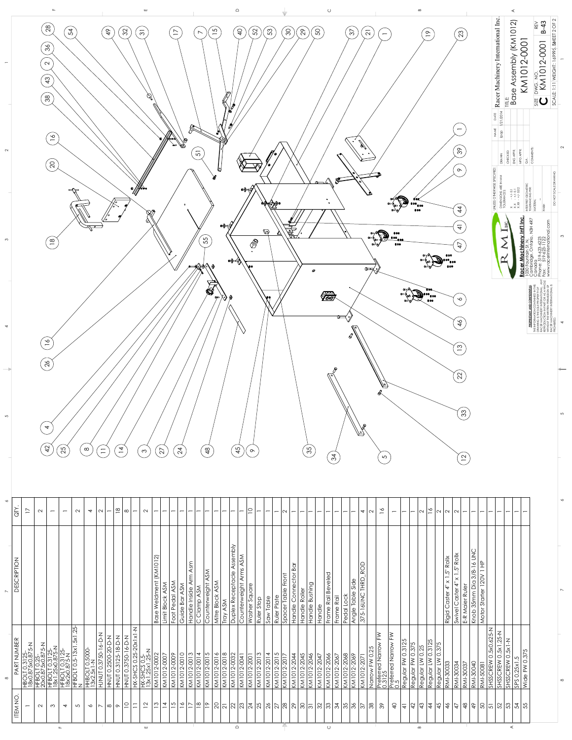

| $\mathbf{\Omega}$<br>$\begin{array}{ l } \hline \text{DWG},\text{NO} \end{array}$ $\begin{array}{ l } \hline \text{FMA 101} \end{array}$<br>$\boldsymbol{\mathcal{L}}$<br>⋖<br>Base<br>$\mathscr{G}/$<br>$38$<br> <br>三<br> <br>$rac{1}{\sqrt{2}}$<br>Ŕ<br>$\mathbb{R}^2$<br> 21/2014<br>NAME<br>dod<br>$\frac{8}{10}$<br><b>COMMENTS</b><br>$\frac{8}{2}$<br>MFG APPR.<br>51<br>ENG APPR.<br>HECKED<br>DRAWN<br>≺<br>$\overline{Q}$<br>İ<br>UNLESS OTHERWISE SPECIFIED:<br>ଓ<br>$\infty$<br>ا کھ<br>DIMENSIONS ARE I<br>TOLERANCES:<br>▒<br>ET GEOMETRI<br>JCING PER:<br>⊛ ∕<br>∙◈⇔<br>$X$ -+/-0.1<br>X.X - +/-0.1<br>X.XX - +/-0.02<br>$\rightarrow$<br>NTERPRET (<br>OLERANC<br>$\bullet$<br><b>MTERI</b><br>$\overline{4}$<br>er Machinery Int'l Inc<br>ountain St. N.<br>ridge, Ontario, N3H 4R7<br>$\overline{4}$<br>∙⊗ <del>√</del><br>ANGERIA<br>TERLI<br>$\mathbb{Q}$<br>▵<br>inada<br>pne: 519-623-6223<br>= 518 423 1122<br>55<br>$\frac{\infty}{2}$<br>$\circledcirc$<br>$\overline{4}$<br>$\bullet \rightarrow \rightarrow$<br>۱o<br>$\mathbb{R}$<br>$\circ$<br>Δ9<br><b>S</b> SOOF<br>V<br>$\sqrt{\frac{1}{2}}$<br>$\sqrt{\frac{880}{66}}$<br>$\rightarrow \rightarrow \rightarrow \rightarrow$<br><b>100</b><br>$\infty$<br>THE INFORM<br>DRAWING I<br>RACER MA<br>$\frac{6}{4}$<br>$\frac{8}{10}$<br>$\overline{1}$<br>$\frac{8}{26}$<br>22<br>扃<br>$\left[ \mathfrak{B}\right]$<br>$\overline{\mathcal{A}}$<br>厉<br>42<br>$\overline{4}$<br>24<br>$\frac{8}{4}$<br>$\frac{6}{3}$<br>25<br>45<br>27<br>$\infty$<br>$\equiv$<br>$\infty$<br>$\infty$<br>34<br>$\overline{5}$<br>$\mathsf{\Omega}$<br>$\frac{8}{1}$<br>$\frac{8}{10}$<br>$\geq$<br>$\supseteq$<br>$\frac{8}{1}$<br>$\overline{4}$<br>$\infty$<br>$\sim$<br>$\sim$<br>$\sim$<br>$\sim$<br>$\sim$<br>$\mathbf{\Omega}$<br>$\sim$<br>$\overline{\mathsf{N}}$<br>$\overline{v}$<br>$\overline{\mathsf{N}}$<br>$\sim$<br>$\overline{\phantom{0}}$<br>$\overline{\phantom{0}}$<br>$\overline{\phantom{0}}$<br>$\overline{\phantom{0}}$<br>$\overline{\phantom{0}}$<br>$\overline{\phantom{0}}$<br>$\overline{\phantom{0}}$<br>$\overline{\phantom{0}}$<br>$\overline{\phantom{m}}$<br>$\overline{\phantom{0}}$<br>$\overline{\phantom{0}}$<br>$\overline{\phantom{0}}$<br>$\overline{\phantom{0}}$<br>$\overline{\phantom{0}}$<br>$\overline{\phantom{m}}$<br>$\overline{\phantom{0}}$<br>$\overline{\phantom{0}}$<br>$\overline{\phantom{0}}$<br>$\overline{\phantom{0}}$<br>$\overline{\phantom{0}}$<br>$\overline{\phantom{0}}$<br>$\overline{\phantom{0}}$<br>$\overline{\phantom{0}}$<br>$\overline{\phantom{0}}$<br>Duplex Receptacle Assembly<br>Knob 35mm Dia 3/8-16 UNC<br>$1.5"$ Rollx<br>Counterweight Arms ASM<br>$\widehat{\mathcal{N}}$<br>Rigid Caster 4" x 1.5" Rollx<br>(KM1012)<br>$rac{1}{1}$<br>Asm<br><b>ROD</b><br>Handle Connector Bar<br>Counterweight ASM<br>$\overline{\phantom{m}}$<br>Frame Rail Beveled<br>Spacer Table Front<br>Handle Inside Arm<br>120V<br>$\times$<br>THRD.<br>Angle Table Side<br><b>Base Weldment</b><br>Mitre Block ASM<br>Foot Pedal ASM<br>Swivel Caster 4"<br>Limit Block ASM<br>Handle Bushing<br>Guide Bar ASM<br>Washer Square<br>E-R Maier Ruler<br>C Clamp ASM<br>Motor Starter<br>Handle Roller<br>375-16UNC<br>Pedal Lock<br>Ruler Plate<br>Frame Rail<br>Saw Table<br>Ruler Stop<br><b>Tray ASM</b><br>Handle<br>.25<br>$\leq$<br>SHSSCREW 0.5x0.625-N<br>SHSSCREW 0.5x1.25-N<br>N-0-9-05750-16-0-H<br>$ \tilde{\epsilon} $<br>∥≩<br>HX-SHCS 0.25-20x1x1<br>HNUT 0.3125-18-D-N<br>HNUT 0.2500-20-D-N<br>HNUT 0.3750-16-D-N<br>$HFBOLI$ 0.5-13x1.5x1<br>N<br>SHSSCREW 0.5x1-N<br>Regular FW 0.3125<br>Regular LW 0.3125<br>Preferred Narrow F<br>0.3125<br>Preferred Narrow F<br>0.5<br>Regular FW 0.375<br>HBOLT 0.3125-<br><u>18x0.875x0.875-N</u><br>HFBOLT 0.25-<br>20x0.875x0.875-N<br>HFBOLT 0.3125-<br>18x1.25x0.875-N<br>HFBOLT 0.3125-<br>18x2x0.875-N<br>0.375<br>Regular LW 0.25<br>Narrow FW 0.25<br>HX-SHCS 0.5-<br>13x1.25x1.25-N<br>HHBOLT 0.5000<br>13x2.5x1-N<br>Wide FW 0.375<br>KM1012-0014<br>KM1012-0015<br>KM1012-0016<br>KM1012-0018<br>KM1012-2001<br>KM1012-2013<br><b>A102-210IM</b><br>$-2015$<br>$-2044$<br>$-2045$<br>KM1012-0002<br>KM1012-0010<br>KM1012-0013<br>KM1012-0032<br>$-2046$<br>KM1012-2066<br>KM1012-0007<br>KM1012-0009<br>KM1012-2017<br>$-2068$<br>$-2047$<br>KM1012-2067<br>KM1012-2069<br>KM1012-0041<br>KM1012-2071<br>SPS 0.25x1.5<br>Regular LW<br>RMI-30033<br><b>FEOOS-INA</b><br>RMI-30040<br>RMI-30037<br>RMI-50081<br>KM1012<br>KM1012-<br>$\overline{KM1012}$<br>KM1012-<br><b>KM1012-</b><br>$ $ KM1012-<br>$\approx$   $\approx$   $\approx$   $\approx$   $\approx$   $\approx$   $\approx$   $\approx$   $\approx$   $\approx$   $\approx$   $\approx$   $\approx$   $\approx$   $\approx$   $\approx$   $\approx$   $\approx$   $\approx$   $\approx$   $\approx$   $\approx$   $\approx$   $\approx$   $\approx$   $\approx$   $\approx$   $\approx$   $\approx$   $\approx$   $\approx$   $\approx$<br>2 7 <br>$\frac{4}{3}$ $\frac{4}{3}$ $\frac{4}{3}$ $\frac{4}{3}$ $\frac{4}{3}$ $\frac{4}{3}$ $\frac{4}{3}$ $\frac{4}{3}$ $\frac{4}{3}$ $\frac{4}{3}$ $\frac{4}{3}$ $\frac{4}{3}$ $\frac{4}{3}$ $\frac{4}{3}$ $\frac{4}{3}$ $\frac{4}{3}$ $\frac{4}{3}$ $\frac{4}{3}$ $\frac{4}{3}$ $\frac{4}{3}$ $\frac{4}{3}$ $\frac{4}{3}$<br>$\circ$   $\sim$ $\circ$   $\circ$   $\circ$  <br>$\sim$<br>က $\mathcal{C}$<br>$\overline{4}$<br>$\overline{5}$ |                | $\infty$    | $\overline{\phantom{0}}$ | $\sim$ | 5 | $\overline{4}$ | $\infty$ | $\sim$ |  |
|-------------------------------------------------------------------------------------------------------------------------------------------------------------------------------------------------------------------------------------------------------------------------------------------------------------------------------------------------------------------------------------------------------------------------------------------------------------------------------------------------------------------------------------------------------------------------------------------------------------------------------------------------------------------------------------------------------------------------------------------------------------------------------------------------------------------------------------------------------------------------------------------------------------------------------------------------------------------------------------------------------------------------------------------------------------------------------------------------------------------------------------------------------------------------------------------------------------------------------------------------------------------------------------------------------------------------------------------------------------------------------------------------------------------------------------------------------------------------------------------------------------------------------------------------------------------------------------------------------------------------------------------------------------------------------------------------------------------------------------------------------------------------------------------------------------------------------------------------------------------------------------------------------------------------------------------------------------------------------------------------------------------------------------------------------------------------------------------------------------------------------------------------------------------------------------------------------------------------------------------------------------------------------------------------------------------------------------------------------------------------------------------------------------------------------------------------------------------------------------------------------------------------------------------------------------------------------------------------------------------------------------------------------------------------------------------------------------------------------------------------------------------------------------------------------------------------------------------------------------------------------------------------------------------------------------------------------------------------------------------------------------------------------------------------------------------------------------------------------------------------------------------------------------------------------------------------------------------------------------------------------------------------------------------------------------------------------------------------------------------------------------------------------------------------------------------------------------------------------------------------------------------------------------------------------------------------------------------------------------------------------------------------------------------------------------------------------------------------------------------------------------------------------------------------------------------------------------------------------------------------------------------------------------------------------------------------------------------------------------------------------------------------------------------------------------------------------------------------------------------------------------------------------------------------------------------------------------------------------------------------------------------------------------------------------------------------------------------------------------------------------------------------------------------------------------------------------------------------------------------------------------------------------------------------------------------------------------------------------------------------------------------------------------------------------------------------------------------------------------------------------------------------------------------------------------------------------------------------------------------------------------------------------------------------------------------------------------------------------------------------------------------------------------------------------------------------------------------------------------------------------------------------------------------------------------------------------------------------------------------------------------------------------------------------------------------------------------------------------------------------------------------------------------------------------------------------------------|----------------|-------------|--------------------------|--------|---|----------------|----------|--------|--|
|                                                                                                                                                                                                                                                                                                                                                                                                                                                                                                                                                                                                                                                                                                                                                                                                                                                                                                                                                                                                                                                                                                                                                                                                                                                                                                                                                                                                                                                                                                                                                                                                                                                                                                                                                                                                                                                                                                                                                                                                                                                                                                                                                                                                                                                                                                                                                                                                                                                                                                                                                                                                                                                                                                                                                                                                                                                                                                                                                                                                                                                                                                                                                                                                                                                                                                                                                                                                                                                                                                                                                                                                                                                                                                                                                                                                                                                                                                                                                                                                                                                                                                                                                                                                                                                                                                                                                                                                                                                                                                                                                                                                                                                                                                                                                                                                                                                                                                                                                                                                                                                                                                                                                                                                                                                                                                                                                                                                                                                             | <b>ITEM NO</b> | PART NUMBER | <b>DESCRIPTION</b>       | QTY.   |   |                |          |        |  |
|                                                                                                                                                                                                                                                                                                                                                                                                                                                                                                                                                                                                                                                                                                                                                                                                                                                                                                                                                                                                                                                                                                                                                                                                                                                                                                                                                                                                                                                                                                                                                                                                                                                                                                                                                                                                                                                                                                                                                                                                                                                                                                                                                                                                                                                                                                                                                                                                                                                                                                                                                                                                                                                                                                                                                                                                                                                                                                                                                                                                                                                                                                                                                                                                                                                                                                                                                                                                                                                                                                                                                                                                                                                                                                                                                                                                                                                                                                                                                                                                                                                                                                                                                                                                                                                                                                                                                                                                                                                                                                                                                                                                                                                                                                                                                                                                                                                                                                                                                                                                                                                                                                                                                                                                                                                                                                                                                                                                                                                             |                |             |                          |        |   |                |          |        |  |
| $\mathbb{R}^n$                                                                                                                                                                                                                                                                                                                                                                                                                                                                                                                                                                                                                                                                                                                                                                                                                                                                                                                                                                                                                                                                                                                                                                                                                                                                                                                                                                                                                                                                                                                                                                                                                                                                                                                                                                                                                                                                                                                                                                                                                                                                                                                                                                                                                                                                                                                                                                                                                                                                                                                                                                                                                                                                                                                                                                                                                                                                                                                                                                                                                                                                                                                                                                                                                                                                                                                                                                                                                                                                                                                                                                                                                                                                                                                                                                                                                                                                                                                                                                                                                                                                                                                                                                                                                                                                                                                                                                                                                                                                                                                                                                                                                                                                                                                                                                                                                                                                                                                                                                                                                                                                                                                                                                                                                                                                                                                                                                                                                                              |                |             |                          |        |   |                |          |        |  |
| - 12<br>a ka                                                                                                                                                                                                                                                                                                                                                                                                                                                                                                                                                                                                                                                                                                                                                                                                                                                                                                                                                                                                                                                                                                                                                                                                                                                                                                                                                                                                                                                                                                                                                                                                                                                                                                                                                                                                                                                                                                                                                                                                                                                                                                                                                                                                                                                                                                                                                                                                                                                                                                                                                                                                                                                                                                                                                                                                                                                                                                                                                                                                                                                                                                                                                                                                                                                                                                                                                                                                                                                                                                                                                                                                                                                                                                                                                                                                                                                                                                                                                                                                                                                                                                                                                                                                                                                                                                                                                                                                                                                                                                                                                                                                                                                                                                                                                                                                                                                                                                                                                                                                                                                                                                                                                                                                                                                                                                                                                                                                                                                |                |             |                          |        |   |                |          |        |  |
|                                                                                                                                                                                                                                                                                                                                                                                                                                                                                                                                                                                                                                                                                                                                                                                                                                                                                                                                                                                                                                                                                                                                                                                                                                                                                                                                                                                                                                                                                                                                                                                                                                                                                                                                                                                                                                                                                                                                                                                                                                                                                                                                                                                                                                                                                                                                                                                                                                                                                                                                                                                                                                                                                                                                                                                                                                                                                                                                                                                                                                                                                                                                                                                                                                                                                                                                                                                                                                                                                                                                                                                                                                                                                                                                                                                                                                                                                                                                                                                                                                                                                                                                                                                                                                                                                                                                                                                                                                                                                                                                                                                                                                                                                                                                                                                                                                                                                                                                                                                                                                                                                                                                                                                                                                                                                                                                                                                                                                                             | ட              |             |                          |        |   |                |          |        |  |
| $\prec$<br>$\mathop{\hbox{$\bigtriangleup$}}$<br>$\mathrel{\sqcup\!\!\!\!\perp}$                                                                                                                                                                                                                                                                                                                                                                                                                                                                                                                                                                                                                                                                                                                                                                                                                                                                                                                                                                                                                                                                                                                                                                                                                                                                                                                                                                                                                                                                                                                                                                                                                                                                                                                                                                                                                                                                                                                                                                                                                                                                                                                                                                                                                                                                                                                                                                                                                                                                                                                                                                                                                                                                                                                                                                                                                                                                                                                                                                                                                                                                                                                                                                                                                                                                                                                                                                                                                                                                                                                                                                                                                                                                                                                                                                                                                                                                                                                                                                                                                                                                                                                                                                                                                                                                                                                                                                                                                                                                                                                                                                                                                                                                                                                                                                                                                                                                                                                                                                                                                                                                                                                                                                                                                                                                                                                                                                            |                |             |                          |        |   |                |          |        |  |
| ssemt<br>KM1012<br>Racer Machinery                                                                                                                                                                                                                                                                                                                                                                                                                                                                                                                                                                                                                                                                                                                                                                                                                                                                                                                                                                                                                                                                                                                                                                                                                                                                                                                                                                                                                                                                                                                                                                                                                                                                                                                                                                                                                                                                                                                                                                                                                                                                                                                                                                                                                                                                                                                                                                                                                                                                                                                                                                                                                                                                                                                                                                                                                                                                                                                                                                                                                                                                                                                                                                                                                                                                                                                                                                                                                                                                                                                                                                                                                                                                                                                                                                                                                                                                                                                                                                                                                                                                                                                                                                                                                                                                                                                                                                                                                                                                                                                                                                                                                                                                                                                                                                                                                                                                                                                                                                                                                                                                                                                                                                                                                                                                                                                                                                                                                          |                |             |                          |        |   |                |          |        |  |
|                                                                                                                                                                                                                                                                                                                                                                                                                                                                                                                                                                                                                                                                                                                                                                                                                                                                                                                                                                                                                                                                                                                                                                                                                                                                                                                                                                                                                                                                                                                                                                                                                                                                                                                                                                                                                                                                                                                                                                                                                                                                                                                                                                                                                                                                                                                                                                                                                                                                                                                                                                                                                                                                                                                                                                                                                                                                                                                                                                                                                                                                                                                                                                                                                                                                                                                                                                                                                                                                                                                                                                                                                                                                                                                                                                                                                                                                                                                                                                                                                                                                                                                                                                                                                                                                                                                                                                                                                                                                                                                                                                                                                                                                                                                                                                                                                                                                                                                                                                                                                                                                                                                                                                                                                                                                                                                                                                                                                                                             |                |             |                          |        |   |                |          |        |  |
|                                                                                                                                                                                                                                                                                                                                                                                                                                                                                                                                                                                                                                                                                                                                                                                                                                                                                                                                                                                                                                                                                                                                                                                                                                                                                                                                                                                                                                                                                                                                                                                                                                                                                                                                                                                                                                                                                                                                                                                                                                                                                                                                                                                                                                                                                                                                                                                                                                                                                                                                                                                                                                                                                                                                                                                                                                                                                                                                                                                                                                                                                                                                                                                                                                                                                                                                                                                                                                                                                                                                                                                                                                                                                                                                                                                                                                                                                                                                                                                                                                                                                                                                                                                                                                                                                                                                                                                                                                                                                                                                                                                                                                                                                                                                                                                                                                                                                                                                                                                                                                                                                                                                                                                                                                                                                                                                                                                                                                                             |                |             |                          |        |   |                |          |        |  |
|                                                                                                                                                                                                                                                                                                                                                                                                                                                                                                                                                                                                                                                                                                                                                                                                                                                                                                                                                                                                                                                                                                                                                                                                                                                                                                                                                                                                                                                                                                                                                                                                                                                                                                                                                                                                                                                                                                                                                                                                                                                                                                                                                                                                                                                                                                                                                                                                                                                                                                                                                                                                                                                                                                                                                                                                                                                                                                                                                                                                                                                                                                                                                                                                                                                                                                                                                                                                                                                                                                                                                                                                                                                                                                                                                                                                                                                                                                                                                                                                                                                                                                                                                                                                                                                                                                                                                                                                                                                                                                                                                                                                                                                                                                                                                                                                                                                                                                                                                                                                                                                                                                                                                                                                                                                                                                                                                                                                                                                             |                |             |                          |        |   |                |          |        |  |
|                                                                                                                                                                                                                                                                                                                                                                                                                                                                                                                                                                                                                                                                                                                                                                                                                                                                                                                                                                                                                                                                                                                                                                                                                                                                                                                                                                                                                                                                                                                                                                                                                                                                                                                                                                                                                                                                                                                                                                                                                                                                                                                                                                                                                                                                                                                                                                                                                                                                                                                                                                                                                                                                                                                                                                                                                                                                                                                                                                                                                                                                                                                                                                                                                                                                                                                                                                                                                                                                                                                                                                                                                                                                                                                                                                                                                                                                                                                                                                                                                                                                                                                                                                                                                                                                                                                                                                                                                                                                                                                                                                                                                                                                                                                                                                                                                                                                                                                                                                                                                                                                                                                                                                                                                                                                                                                                                                                                                                                             |                |             |                          |        |   |                |          |        |  |
|                                                                                                                                                                                                                                                                                                                                                                                                                                                                                                                                                                                                                                                                                                                                                                                                                                                                                                                                                                                                                                                                                                                                                                                                                                                                                                                                                                                                                                                                                                                                                                                                                                                                                                                                                                                                                                                                                                                                                                                                                                                                                                                                                                                                                                                                                                                                                                                                                                                                                                                                                                                                                                                                                                                                                                                                                                                                                                                                                                                                                                                                                                                                                                                                                                                                                                                                                                                                                                                                                                                                                                                                                                                                                                                                                                                                                                                                                                                                                                                                                                                                                                                                                                                                                                                                                                                                                                                                                                                                                                                                                                                                                                                                                                                                                                                                                                                                                                                                                                                                                                                                                                                                                                                                                                                                                                                                                                                                                                                             |                |             |                          |        |   |                |          |        |  |
|                                                                                                                                                                                                                                                                                                                                                                                                                                                                                                                                                                                                                                                                                                                                                                                                                                                                                                                                                                                                                                                                                                                                                                                                                                                                                                                                                                                                                                                                                                                                                                                                                                                                                                                                                                                                                                                                                                                                                                                                                                                                                                                                                                                                                                                                                                                                                                                                                                                                                                                                                                                                                                                                                                                                                                                                                                                                                                                                                                                                                                                                                                                                                                                                                                                                                                                                                                                                                                                                                                                                                                                                                                                                                                                                                                                                                                                                                                                                                                                                                                                                                                                                                                                                                                                                                                                                                                                                                                                                                                                                                                                                                                                                                                                                                                                                                                                                                                                                                                                                                                                                                                                                                                                                                                                                                                                                                                                                                                                             |                |             |                          |        |   |                |          |        |  |
|                                                                                                                                                                                                                                                                                                                                                                                                                                                                                                                                                                                                                                                                                                                                                                                                                                                                                                                                                                                                                                                                                                                                                                                                                                                                                                                                                                                                                                                                                                                                                                                                                                                                                                                                                                                                                                                                                                                                                                                                                                                                                                                                                                                                                                                                                                                                                                                                                                                                                                                                                                                                                                                                                                                                                                                                                                                                                                                                                                                                                                                                                                                                                                                                                                                                                                                                                                                                                                                                                                                                                                                                                                                                                                                                                                                                                                                                                                                                                                                                                                                                                                                                                                                                                                                                                                                                                                                                                                                                                                                                                                                                                                                                                                                                                                                                                                                                                                                                                                                                                                                                                                                                                                                                                                                                                                                                                                                                                                                             |                |             |                          |        |   |                |          |        |  |
|                                                                                                                                                                                                                                                                                                                                                                                                                                                                                                                                                                                                                                                                                                                                                                                                                                                                                                                                                                                                                                                                                                                                                                                                                                                                                                                                                                                                                                                                                                                                                                                                                                                                                                                                                                                                                                                                                                                                                                                                                                                                                                                                                                                                                                                                                                                                                                                                                                                                                                                                                                                                                                                                                                                                                                                                                                                                                                                                                                                                                                                                                                                                                                                                                                                                                                                                                                                                                                                                                                                                                                                                                                                                                                                                                                                                                                                                                                                                                                                                                                                                                                                                                                                                                                                                                                                                                                                                                                                                                                                                                                                                                                                                                                                                                                                                                                                                                                                                                                                                                                                                                                                                                                                                                                                                                                                                                                                                                                                             |                |             |                          |        |   |                |          |        |  |
|                                                                                                                                                                                                                                                                                                                                                                                                                                                                                                                                                                                                                                                                                                                                                                                                                                                                                                                                                                                                                                                                                                                                                                                                                                                                                                                                                                                                                                                                                                                                                                                                                                                                                                                                                                                                                                                                                                                                                                                                                                                                                                                                                                                                                                                                                                                                                                                                                                                                                                                                                                                                                                                                                                                                                                                                                                                                                                                                                                                                                                                                                                                                                                                                                                                                                                                                                                                                                                                                                                                                                                                                                                                                                                                                                                                                                                                                                                                                                                                                                                                                                                                                                                                                                                                                                                                                                                                                                                                                                                                                                                                                                                                                                                                                                                                                                                                                                                                                                                                                                                                                                                                                                                                                                                                                                                                                                                                                                                                             |                |             |                          |        |   |                |          |        |  |
|                                                                                                                                                                                                                                                                                                                                                                                                                                                                                                                                                                                                                                                                                                                                                                                                                                                                                                                                                                                                                                                                                                                                                                                                                                                                                                                                                                                                                                                                                                                                                                                                                                                                                                                                                                                                                                                                                                                                                                                                                                                                                                                                                                                                                                                                                                                                                                                                                                                                                                                                                                                                                                                                                                                                                                                                                                                                                                                                                                                                                                                                                                                                                                                                                                                                                                                                                                                                                                                                                                                                                                                                                                                                                                                                                                                                                                                                                                                                                                                                                                                                                                                                                                                                                                                                                                                                                                                                                                                                                                                                                                                                                                                                                                                                                                                                                                                                                                                                                                                                                                                                                                                                                                                                                                                                                                                                                                                                                                                             |                |             |                          |        |   |                |          |        |  |
|                                                                                                                                                                                                                                                                                                                                                                                                                                                                                                                                                                                                                                                                                                                                                                                                                                                                                                                                                                                                                                                                                                                                                                                                                                                                                                                                                                                                                                                                                                                                                                                                                                                                                                                                                                                                                                                                                                                                                                                                                                                                                                                                                                                                                                                                                                                                                                                                                                                                                                                                                                                                                                                                                                                                                                                                                                                                                                                                                                                                                                                                                                                                                                                                                                                                                                                                                                                                                                                                                                                                                                                                                                                                                                                                                                                                                                                                                                                                                                                                                                                                                                                                                                                                                                                                                                                                                                                                                                                                                                                                                                                                                                                                                                                                                                                                                                                                                                                                                                                                                                                                                                                                                                                                                                                                                                                                                                                                                                                             |                |             |                          |        |   |                |          |        |  |
|                                                                                                                                                                                                                                                                                                                                                                                                                                                                                                                                                                                                                                                                                                                                                                                                                                                                                                                                                                                                                                                                                                                                                                                                                                                                                                                                                                                                                                                                                                                                                                                                                                                                                                                                                                                                                                                                                                                                                                                                                                                                                                                                                                                                                                                                                                                                                                                                                                                                                                                                                                                                                                                                                                                                                                                                                                                                                                                                                                                                                                                                                                                                                                                                                                                                                                                                                                                                                                                                                                                                                                                                                                                                                                                                                                                                                                                                                                                                                                                                                                                                                                                                                                                                                                                                                                                                                                                                                                                                                                                                                                                                                                                                                                                                                                                                                                                                                                                                                                                                                                                                                                                                                                                                                                                                                                                                                                                                                                                             |                |             |                          |        |   |                |          |        |  |
|                                                                                                                                                                                                                                                                                                                                                                                                                                                                                                                                                                                                                                                                                                                                                                                                                                                                                                                                                                                                                                                                                                                                                                                                                                                                                                                                                                                                                                                                                                                                                                                                                                                                                                                                                                                                                                                                                                                                                                                                                                                                                                                                                                                                                                                                                                                                                                                                                                                                                                                                                                                                                                                                                                                                                                                                                                                                                                                                                                                                                                                                                                                                                                                                                                                                                                                                                                                                                                                                                                                                                                                                                                                                                                                                                                                                                                                                                                                                                                                                                                                                                                                                                                                                                                                                                                                                                                                                                                                                                                                                                                                                                                                                                                                                                                                                                                                                                                                                                                                                                                                                                                                                                                                                                                                                                                                                                                                                                                                             |                |             |                          |        |   |                |          |        |  |
|                                                                                                                                                                                                                                                                                                                                                                                                                                                                                                                                                                                                                                                                                                                                                                                                                                                                                                                                                                                                                                                                                                                                                                                                                                                                                                                                                                                                                                                                                                                                                                                                                                                                                                                                                                                                                                                                                                                                                                                                                                                                                                                                                                                                                                                                                                                                                                                                                                                                                                                                                                                                                                                                                                                                                                                                                                                                                                                                                                                                                                                                                                                                                                                                                                                                                                                                                                                                                                                                                                                                                                                                                                                                                                                                                                                                                                                                                                                                                                                                                                                                                                                                                                                                                                                                                                                                                                                                                                                                                                                                                                                                                                                                                                                                                                                                                                                                                                                                                                                                                                                                                                                                                                                                                                                                                                                                                                                                                                                             |                |             |                          |        |   |                |          |        |  |
|                                                                                                                                                                                                                                                                                                                                                                                                                                                                                                                                                                                                                                                                                                                                                                                                                                                                                                                                                                                                                                                                                                                                                                                                                                                                                                                                                                                                                                                                                                                                                                                                                                                                                                                                                                                                                                                                                                                                                                                                                                                                                                                                                                                                                                                                                                                                                                                                                                                                                                                                                                                                                                                                                                                                                                                                                                                                                                                                                                                                                                                                                                                                                                                                                                                                                                                                                                                                                                                                                                                                                                                                                                                                                                                                                                                                                                                                                                                                                                                                                                                                                                                                                                                                                                                                                                                                                                                                                                                                                                                                                                                                                                                                                                                                                                                                                                                                                                                                                                                                                                                                                                                                                                                                                                                                                                                                                                                                                                                             |                |             |                          |        |   |                |          |        |  |
|                                                                                                                                                                                                                                                                                                                                                                                                                                                                                                                                                                                                                                                                                                                                                                                                                                                                                                                                                                                                                                                                                                                                                                                                                                                                                                                                                                                                                                                                                                                                                                                                                                                                                                                                                                                                                                                                                                                                                                                                                                                                                                                                                                                                                                                                                                                                                                                                                                                                                                                                                                                                                                                                                                                                                                                                                                                                                                                                                                                                                                                                                                                                                                                                                                                                                                                                                                                                                                                                                                                                                                                                                                                                                                                                                                                                                                                                                                                                                                                                                                                                                                                                                                                                                                                                                                                                                                                                                                                                                                                                                                                                                                                                                                                                                                                                                                                                                                                                                                                                                                                                                                                                                                                                                                                                                                                                                                                                                                                             |                |             |                          |        |   |                |          |        |  |
|                                                                                                                                                                                                                                                                                                                                                                                                                                                                                                                                                                                                                                                                                                                                                                                                                                                                                                                                                                                                                                                                                                                                                                                                                                                                                                                                                                                                                                                                                                                                                                                                                                                                                                                                                                                                                                                                                                                                                                                                                                                                                                                                                                                                                                                                                                                                                                                                                                                                                                                                                                                                                                                                                                                                                                                                                                                                                                                                                                                                                                                                                                                                                                                                                                                                                                                                                                                                                                                                                                                                                                                                                                                                                                                                                                                                                                                                                                                                                                                                                                                                                                                                                                                                                                                                                                                                                                                                                                                                                                                                                                                                                                                                                                                                                                                                                                                                                                                                                                                                                                                                                                                                                                                                                                                                                                                                                                                                                                                             |                |             |                          |        |   |                |          |        |  |
|                                                                                                                                                                                                                                                                                                                                                                                                                                                                                                                                                                                                                                                                                                                                                                                                                                                                                                                                                                                                                                                                                                                                                                                                                                                                                                                                                                                                                                                                                                                                                                                                                                                                                                                                                                                                                                                                                                                                                                                                                                                                                                                                                                                                                                                                                                                                                                                                                                                                                                                                                                                                                                                                                                                                                                                                                                                                                                                                                                                                                                                                                                                                                                                                                                                                                                                                                                                                                                                                                                                                                                                                                                                                                                                                                                                                                                                                                                                                                                                                                                                                                                                                                                                                                                                                                                                                                                                                                                                                                                                                                                                                                                                                                                                                                                                                                                                                                                                                                                                                                                                                                                                                                                                                                                                                                                                                                                                                                                                             |                |             |                          |        |   |                |          |        |  |
|                                                                                                                                                                                                                                                                                                                                                                                                                                                                                                                                                                                                                                                                                                                                                                                                                                                                                                                                                                                                                                                                                                                                                                                                                                                                                                                                                                                                                                                                                                                                                                                                                                                                                                                                                                                                                                                                                                                                                                                                                                                                                                                                                                                                                                                                                                                                                                                                                                                                                                                                                                                                                                                                                                                                                                                                                                                                                                                                                                                                                                                                                                                                                                                                                                                                                                                                                                                                                                                                                                                                                                                                                                                                                                                                                                                                                                                                                                                                                                                                                                                                                                                                                                                                                                                                                                                                                                                                                                                                                                                                                                                                                                                                                                                                                                                                                                                                                                                                                                                                                                                                                                                                                                                                                                                                                                                                                                                                                                                             |                |             |                          |        |   |                |          |        |  |
|                                                                                                                                                                                                                                                                                                                                                                                                                                                                                                                                                                                                                                                                                                                                                                                                                                                                                                                                                                                                                                                                                                                                                                                                                                                                                                                                                                                                                                                                                                                                                                                                                                                                                                                                                                                                                                                                                                                                                                                                                                                                                                                                                                                                                                                                                                                                                                                                                                                                                                                                                                                                                                                                                                                                                                                                                                                                                                                                                                                                                                                                                                                                                                                                                                                                                                                                                                                                                                                                                                                                                                                                                                                                                                                                                                                                                                                                                                                                                                                                                                                                                                                                                                                                                                                                                                                                                                                                                                                                                                                                                                                                                                                                                                                                                                                                                                                                                                                                                                                                                                                                                                                                                                                                                                                                                                                                                                                                                                                             |                |             |                          |        |   |                |          |        |  |
|                                                                                                                                                                                                                                                                                                                                                                                                                                                                                                                                                                                                                                                                                                                                                                                                                                                                                                                                                                                                                                                                                                                                                                                                                                                                                                                                                                                                                                                                                                                                                                                                                                                                                                                                                                                                                                                                                                                                                                                                                                                                                                                                                                                                                                                                                                                                                                                                                                                                                                                                                                                                                                                                                                                                                                                                                                                                                                                                                                                                                                                                                                                                                                                                                                                                                                                                                                                                                                                                                                                                                                                                                                                                                                                                                                                                                                                                                                                                                                                                                                                                                                                                                                                                                                                                                                                                                                                                                                                                                                                                                                                                                                                                                                                                                                                                                                                                                                                                                                                                                                                                                                                                                                                                                                                                                                                                                                                                                                                             |                |             |                          |        |   |                |          |        |  |
|                                                                                                                                                                                                                                                                                                                                                                                                                                                                                                                                                                                                                                                                                                                                                                                                                                                                                                                                                                                                                                                                                                                                                                                                                                                                                                                                                                                                                                                                                                                                                                                                                                                                                                                                                                                                                                                                                                                                                                                                                                                                                                                                                                                                                                                                                                                                                                                                                                                                                                                                                                                                                                                                                                                                                                                                                                                                                                                                                                                                                                                                                                                                                                                                                                                                                                                                                                                                                                                                                                                                                                                                                                                                                                                                                                                                                                                                                                                                                                                                                                                                                                                                                                                                                                                                                                                                                                                                                                                                                                                                                                                                                                                                                                                                                                                                                                                                                                                                                                                                                                                                                                                                                                                                                                                                                                                                                                                                                                                             |                |             |                          |        |   |                |          |        |  |
|                                                                                                                                                                                                                                                                                                                                                                                                                                                                                                                                                                                                                                                                                                                                                                                                                                                                                                                                                                                                                                                                                                                                                                                                                                                                                                                                                                                                                                                                                                                                                                                                                                                                                                                                                                                                                                                                                                                                                                                                                                                                                                                                                                                                                                                                                                                                                                                                                                                                                                                                                                                                                                                                                                                                                                                                                                                                                                                                                                                                                                                                                                                                                                                                                                                                                                                                                                                                                                                                                                                                                                                                                                                                                                                                                                                                                                                                                                                                                                                                                                                                                                                                                                                                                                                                                                                                                                                                                                                                                                                                                                                                                                                                                                                                                                                                                                                                                                                                                                                                                                                                                                                                                                                                                                                                                                                                                                                                                                                             |                |             |                          |        |   |                |          |        |  |
|                                                                                                                                                                                                                                                                                                                                                                                                                                                                                                                                                                                                                                                                                                                                                                                                                                                                                                                                                                                                                                                                                                                                                                                                                                                                                                                                                                                                                                                                                                                                                                                                                                                                                                                                                                                                                                                                                                                                                                                                                                                                                                                                                                                                                                                                                                                                                                                                                                                                                                                                                                                                                                                                                                                                                                                                                                                                                                                                                                                                                                                                                                                                                                                                                                                                                                                                                                                                                                                                                                                                                                                                                                                                                                                                                                                                                                                                                                                                                                                                                                                                                                                                                                                                                                                                                                                                                                                                                                                                                                                                                                                                                                                                                                                                                                                                                                                                                                                                                                                                                                                                                                                                                                                                                                                                                                                                                                                                                                                             | $\circ$        |             |                          |        |   |                |          |        |  |
|                                                                                                                                                                                                                                                                                                                                                                                                                                                                                                                                                                                                                                                                                                                                                                                                                                                                                                                                                                                                                                                                                                                                                                                                                                                                                                                                                                                                                                                                                                                                                                                                                                                                                                                                                                                                                                                                                                                                                                                                                                                                                                                                                                                                                                                                                                                                                                                                                                                                                                                                                                                                                                                                                                                                                                                                                                                                                                                                                                                                                                                                                                                                                                                                                                                                                                                                                                                                                                                                                                                                                                                                                                                                                                                                                                                                                                                                                                                                                                                                                                                                                                                                                                                                                                                                                                                                                                                                                                                                                                                                                                                                                                                                                                                                                                                                                                                                                                                                                                                                                                                                                                                                                                                                                                                                                                                                                                                                                                                             |                |             |                          |        |   |                |          |        |  |
|                                                                                                                                                                                                                                                                                                                                                                                                                                                                                                                                                                                                                                                                                                                                                                                                                                                                                                                                                                                                                                                                                                                                                                                                                                                                                                                                                                                                                                                                                                                                                                                                                                                                                                                                                                                                                                                                                                                                                                                                                                                                                                                                                                                                                                                                                                                                                                                                                                                                                                                                                                                                                                                                                                                                                                                                                                                                                                                                                                                                                                                                                                                                                                                                                                                                                                                                                                                                                                                                                                                                                                                                                                                                                                                                                                                                                                                                                                                                                                                                                                                                                                                                                                                                                                                                                                                                                                                                                                                                                                                                                                                                                                                                                                                                                                                                                                                                                                                                                                                                                                                                                                                                                                                                                                                                                                                                                                                                                                                             |                |             |                          |        |   |                |          |        |  |
|                                                                                                                                                                                                                                                                                                                                                                                                                                                                                                                                                                                                                                                                                                                                                                                                                                                                                                                                                                                                                                                                                                                                                                                                                                                                                                                                                                                                                                                                                                                                                                                                                                                                                                                                                                                                                                                                                                                                                                                                                                                                                                                                                                                                                                                                                                                                                                                                                                                                                                                                                                                                                                                                                                                                                                                                                                                                                                                                                                                                                                                                                                                                                                                                                                                                                                                                                                                                                                                                                                                                                                                                                                                                                                                                                                                                                                                                                                                                                                                                                                                                                                                                                                                                                                                                                                                                                                                                                                                                                                                                                                                                                                                                                                                                                                                                                                                                                                                                                                                                                                                                                                                                                                                                                                                                                                                                                                                                                                                             |                |             |                          |        |   |                |          |        |  |
|                                                                                                                                                                                                                                                                                                                                                                                                                                                                                                                                                                                                                                                                                                                                                                                                                                                                                                                                                                                                                                                                                                                                                                                                                                                                                                                                                                                                                                                                                                                                                                                                                                                                                                                                                                                                                                                                                                                                                                                                                                                                                                                                                                                                                                                                                                                                                                                                                                                                                                                                                                                                                                                                                                                                                                                                                                                                                                                                                                                                                                                                                                                                                                                                                                                                                                                                                                                                                                                                                                                                                                                                                                                                                                                                                                                                                                                                                                                                                                                                                                                                                                                                                                                                                                                                                                                                                                                                                                                                                                                                                                                                                                                                                                                                                                                                                                                                                                                                                                                                                                                                                                                                                                                                                                                                                                                                                                                                                                                             |                |             |                          |        |   |                |          |        |  |
|                                                                                                                                                                                                                                                                                                                                                                                                                                                                                                                                                                                                                                                                                                                                                                                                                                                                                                                                                                                                                                                                                                                                                                                                                                                                                                                                                                                                                                                                                                                                                                                                                                                                                                                                                                                                                                                                                                                                                                                                                                                                                                                                                                                                                                                                                                                                                                                                                                                                                                                                                                                                                                                                                                                                                                                                                                                                                                                                                                                                                                                                                                                                                                                                                                                                                                                                                                                                                                                                                                                                                                                                                                                                                                                                                                                                                                                                                                                                                                                                                                                                                                                                                                                                                                                                                                                                                                                                                                                                                                                                                                                                                                                                                                                                                                                                                                                                                                                                                                                                                                                                                                                                                                                                                                                                                                                                                                                                                                                             |                |             |                          |        |   |                |          |        |  |
|                                                                                                                                                                                                                                                                                                                                                                                                                                                                                                                                                                                                                                                                                                                                                                                                                                                                                                                                                                                                                                                                                                                                                                                                                                                                                                                                                                                                                                                                                                                                                                                                                                                                                                                                                                                                                                                                                                                                                                                                                                                                                                                                                                                                                                                                                                                                                                                                                                                                                                                                                                                                                                                                                                                                                                                                                                                                                                                                                                                                                                                                                                                                                                                                                                                                                                                                                                                                                                                                                                                                                                                                                                                                                                                                                                                                                                                                                                                                                                                                                                                                                                                                                                                                                                                                                                                                                                                                                                                                                                                                                                                                                                                                                                                                                                                                                                                                                                                                                                                                                                                                                                                                                                                                                                                                                                                                                                                                                                                             |                |             |                          |        |   |                |          |        |  |
|                                                                                                                                                                                                                                                                                                                                                                                                                                                                                                                                                                                                                                                                                                                                                                                                                                                                                                                                                                                                                                                                                                                                                                                                                                                                                                                                                                                                                                                                                                                                                                                                                                                                                                                                                                                                                                                                                                                                                                                                                                                                                                                                                                                                                                                                                                                                                                                                                                                                                                                                                                                                                                                                                                                                                                                                                                                                                                                                                                                                                                                                                                                                                                                                                                                                                                                                                                                                                                                                                                                                                                                                                                                                                                                                                                                                                                                                                                                                                                                                                                                                                                                                                                                                                                                                                                                                                                                                                                                                                                                                                                                                                                                                                                                                                                                                                                                                                                                                                                                                                                                                                                                                                                                                                                                                                                                                                                                                                                                             |                |             |                          |        |   |                |          |        |  |
|                                                                                                                                                                                                                                                                                                                                                                                                                                                                                                                                                                                                                                                                                                                                                                                                                                                                                                                                                                                                                                                                                                                                                                                                                                                                                                                                                                                                                                                                                                                                                                                                                                                                                                                                                                                                                                                                                                                                                                                                                                                                                                                                                                                                                                                                                                                                                                                                                                                                                                                                                                                                                                                                                                                                                                                                                                                                                                                                                                                                                                                                                                                                                                                                                                                                                                                                                                                                                                                                                                                                                                                                                                                                                                                                                                                                                                                                                                                                                                                                                                                                                                                                                                                                                                                                                                                                                                                                                                                                                                                                                                                                                                                                                                                                                                                                                                                                                                                                                                                                                                                                                                                                                                                                                                                                                                                                                                                                                                                             |                |             |                          |        |   |                |          |        |  |
|                                                                                                                                                                                                                                                                                                                                                                                                                                                                                                                                                                                                                                                                                                                                                                                                                                                                                                                                                                                                                                                                                                                                                                                                                                                                                                                                                                                                                                                                                                                                                                                                                                                                                                                                                                                                                                                                                                                                                                                                                                                                                                                                                                                                                                                                                                                                                                                                                                                                                                                                                                                                                                                                                                                                                                                                                                                                                                                                                                                                                                                                                                                                                                                                                                                                                                                                                                                                                                                                                                                                                                                                                                                                                                                                                                                                                                                                                                                                                                                                                                                                                                                                                                                                                                                                                                                                                                                                                                                                                                                                                                                                                                                                                                                                                                                                                                                                                                                                                                                                                                                                                                                                                                                                                                                                                                                                                                                                                                                             | $\bf{m}$       |             |                          |        |   |                |          |        |  |
|                                                                                                                                                                                                                                                                                                                                                                                                                                                                                                                                                                                                                                                                                                                                                                                                                                                                                                                                                                                                                                                                                                                                                                                                                                                                                                                                                                                                                                                                                                                                                                                                                                                                                                                                                                                                                                                                                                                                                                                                                                                                                                                                                                                                                                                                                                                                                                                                                                                                                                                                                                                                                                                                                                                                                                                                                                                                                                                                                                                                                                                                                                                                                                                                                                                                                                                                                                                                                                                                                                                                                                                                                                                                                                                                                                                                                                                                                                                                                                                                                                                                                                                                                                                                                                                                                                                                                                                                                                                                                                                                                                                                                                                                                                                                                                                                                                                                                                                                                                                                                                                                                                                                                                                                                                                                                                                                                                                                                                                             |                |             |                          |        |   |                |          |        |  |
|                                                                                                                                                                                                                                                                                                                                                                                                                                                                                                                                                                                                                                                                                                                                                                                                                                                                                                                                                                                                                                                                                                                                                                                                                                                                                                                                                                                                                                                                                                                                                                                                                                                                                                                                                                                                                                                                                                                                                                                                                                                                                                                                                                                                                                                                                                                                                                                                                                                                                                                                                                                                                                                                                                                                                                                                                                                                                                                                                                                                                                                                                                                                                                                                                                                                                                                                                                                                                                                                                                                                                                                                                                                                                                                                                                                                                                                                                                                                                                                                                                                                                                                                                                                                                                                                                                                                                                                                                                                                                                                                                                                                                                                                                                                                                                                                                                                                                                                                                                                                                                                                                                                                                                                                                                                                                                                                                                                                                                                             |                |             |                          |        |   |                |          |        |  |
|                                                                                                                                                                                                                                                                                                                                                                                                                                                                                                                                                                                                                                                                                                                                                                                                                                                                                                                                                                                                                                                                                                                                                                                                                                                                                                                                                                                                                                                                                                                                                                                                                                                                                                                                                                                                                                                                                                                                                                                                                                                                                                                                                                                                                                                                                                                                                                                                                                                                                                                                                                                                                                                                                                                                                                                                                                                                                                                                                                                                                                                                                                                                                                                                                                                                                                                                                                                                                                                                                                                                                                                                                                                                                                                                                                                                                                                                                                                                                                                                                                                                                                                                                                                                                                                                                                                                                                                                                                                                                                                                                                                                                                                                                                                                                                                                                                                                                                                                                                                                                                                                                                                                                                                                                                                                                                                                                                                                                                                             |                |             |                          |        |   |                |          |        |  |
|                                                                                                                                                                                                                                                                                                                                                                                                                                                                                                                                                                                                                                                                                                                                                                                                                                                                                                                                                                                                                                                                                                                                                                                                                                                                                                                                                                                                                                                                                                                                                                                                                                                                                                                                                                                                                                                                                                                                                                                                                                                                                                                                                                                                                                                                                                                                                                                                                                                                                                                                                                                                                                                                                                                                                                                                                                                                                                                                                                                                                                                                                                                                                                                                                                                                                                                                                                                                                                                                                                                                                                                                                                                                                                                                                                                                                                                                                                                                                                                                                                                                                                                                                                                                                                                                                                                                                                                                                                                                                                                                                                                                                                                                                                                                                                                                                                                                                                                                                                                                                                                                                                                                                                                                                                                                                                                                                                                                                                                             |                |             |                          |        |   |                |          |        |  |
|                                                                                                                                                                                                                                                                                                                                                                                                                                                                                                                                                                                                                                                                                                                                                                                                                                                                                                                                                                                                                                                                                                                                                                                                                                                                                                                                                                                                                                                                                                                                                                                                                                                                                                                                                                                                                                                                                                                                                                                                                                                                                                                                                                                                                                                                                                                                                                                                                                                                                                                                                                                                                                                                                                                                                                                                                                                                                                                                                                                                                                                                                                                                                                                                                                                                                                                                                                                                                                                                                                                                                                                                                                                                                                                                                                                                                                                                                                                                                                                                                                                                                                                                                                                                                                                                                                                                                                                                                                                                                                                                                                                                                                                                                                                                                                                                                                                                                                                                                                                                                                                                                                                                                                                                                                                                                                                                                                                                                                                             |                |             |                          |        |   |                |          |        |  |
|                                                                                                                                                                                                                                                                                                                                                                                                                                                                                                                                                                                                                                                                                                                                                                                                                                                                                                                                                                                                                                                                                                                                                                                                                                                                                                                                                                                                                                                                                                                                                                                                                                                                                                                                                                                                                                                                                                                                                                                                                                                                                                                                                                                                                                                                                                                                                                                                                                                                                                                                                                                                                                                                                                                                                                                                                                                                                                                                                                                                                                                                                                                                                                                                                                                                                                                                                                                                                                                                                                                                                                                                                                                                                                                                                                                                                                                                                                                                                                                                                                                                                                                                                                                                                                                                                                                                                                                                                                                                                                                                                                                                                                                                                                                                                                                                                                                                                                                                                                                                                                                                                                                                                                                                                                                                                                                                                                                                                                                             |                |             |                          |        |   |                |          |        |  |
|                                                                                                                                                                                                                                                                                                                                                                                                                                                                                                                                                                                                                                                                                                                                                                                                                                                                                                                                                                                                                                                                                                                                                                                                                                                                                                                                                                                                                                                                                                                                                                                                                                                                                                                                                                                                                                                                                                                                                                                                                                                                                                                                                                                                                                                                                                                                                                                                                                                                                                                                                                                                                                                                                                                                                                                                                                                                                                                                                                                                                                                                                                                                                                                                                                                                                                                                                                                                                                                                                                                                                                                                                                                                                                                                                                                                                                                                                                                                                                                                                                                                                                                                                                                                                                                                                                                                                                                                                                                                                                                                                                                                                                                                                                                                                                                                                                                                                                                                                                                                                                                                                                                                                                                                                                                                                                                                                                                                                                                             |                |             |                          |        |   |                |          |        |  |
|                                                                                                                                                                                                                                                                                                                                                                                                                                                                                                                                                                                                                                                                                                                                                                                                                                                                                                                                                                                                                                                                                                                                                                                                                                                                                                                                                                                                                                                                                                                                                                                                                                                                                                                                                                                                                                                                                                                                                                                                                                                                                                                                                                                                                                                                                                                                                                                                                                                                                                                                                                                                                                                                                                                                                                                                                                                                                                                                                                                                                                                                                                                                                                                                                                                                                                                                                                                                                                                                                                                                                                                                                                                                                                                                                                                                                                                                                                                                                                                                                                                                                                                                                                                                                                                                                                                                                                                                                                                                                                                                                                                                                                                                                                                                                                                                                                                                                                                                                                                                                                                                                                                                                                                                                                                                                                                                                                                                                                                             |                |             |                          |        |   |                |          |        |  |
|                                                                                                                                                                                                                                                                                                                                                                                                                                                                                                                                                                                                                                                                                                                                                                                                                                                                                                                                                                                                                                                                                                                                                                                                                                                                                                                                                                                                                                                                                                                                                                                                                                                                                                                                                                                                                                                                                                                                                                                                                                                                                                                                                                                                                                                                                                                                                                                                                                                                                                                                                                                                                                                                                                                                                                                                                                                                                                                                                                                                                                                                                                                                                                                                                                                                                                                                                                                                                                                                                                                                                                                                                                                                                                                                                                                                                                                                                                                                                                                                                                                                                                                                                                                                                                                                                                                                                                                                                                                                                                                                                                                                                                                                                                                                                                                                                                                                                                                                                                                                                                                                                                                                                                                                                                                                                                                                                                                                                                                             |                |             |                          |        |   |                |          |        |  |
|                                                                                                                                                                                                                                                                                                                                                                                                                                                                                                                                                                                                                                                                                                                                                                                                                                                                                                                                                                                                                                                                                                                                                                                                                                                                                                                                                                                                                                                                                                                                                                                                                                                                                                                                                                                                                                                                                                                                                                                                                                                                                                                                                                                                                                                                                                                                                                                                                                                                                                                                                                                                                                                                                                                                                                                                                                                                                                                                                                                                                                                                                                                                                                                                                                                                                                                                                                                                                                                                                                                                                                                                                                                                                                                                                                                                                                                                                                                                                                                                                                                                                                                                                                                                                                                                                                                                                                                                                                                                                                                                                                                                                                                                                                                                                                                                                                                                                                                                                                                                                                                                                                                                                                                                                                                                                                                                                                                                                                                             |                |             |                          |        |   |                |          |        |  |
|                                                                                                                                                                                                                                                                                                                                                                                                                                                                                                                                                                                                                                                                                                                                                                                                                                                                                                                                                                                                                                                                                                                                                                                                                                                                                                                                                                                                                                                                                                                                                                                                                                                                                                                                                                                                                                                                                                                                                                                                                                                                                                                                                                                                                                                                                                                                                                                                                                                                                                                                                                                                                                                                                                                                                                                                                                                                                                                                                                                                                                                                                                                                                                                                                                                                                                                                                                                                                                                                                                                                                                                                                                                                                                                                                                                                                                                                                                                                                                                                                                                                                                                                                                                                                                                                                                                                                                                                                                                                                                                                                                                                                                                                                                                                                                                                                                                                                                                                                                                                                                                                                                                                                                                                                                                                                                                                                                                                                                                             |                |             |                          |        |   |                |          |        |  |
|                                                                                                                                                                                                                                                                                                                                                                                                                                                                                                                                                                                                                                                                                                                                                                                                                                                                                                                                                                                                                                                                                                                                                                                                                                                                                                                                                                                                                                                                                                                                                                                                                                                                                                                                                                                                                                                                                                                                                                                                                                                                                                                                                                                                                                                                                                                                                                                                                                                                                                                                                                                                                                                                                                                                                                                                                                                                                                                                                                                                                                                                                                                                                                                                                                                                                                                                                                                                                                                                                                                                                                                                                                                                                                                                                                                                                                                                                                                                                                                                                                                                                                                                                                                                                                                                                                                                                                                                                                                                                                                                                                                                                                                                                                                                                                                                                                                                                                                                                                                                                                                                                                                                                                                                                                                                                                                                                                                                                                                             |                |             |                          |        |   |                |          |        |  |

 $\overline{\phantom{0}}$ 

 $\frac{45}{6}$ 

 $\begin{pmatrix} 3 \ 7 \end{pmatrix}$  $\left(\frac{3}{2}\right)$ 

৩

 $\overline{\phantom{1}}$ 

 $\infty$